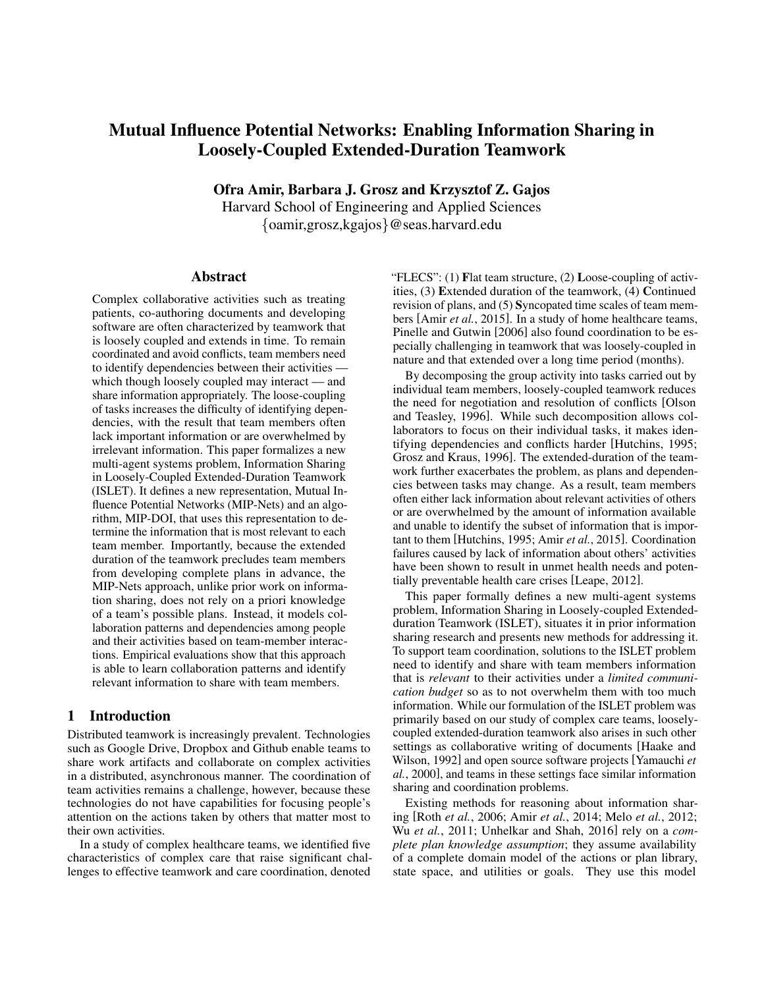# Mutual Influence Potential Networks: Enabling Information Sharing in Loosely-Coupled Extended-Duration Teamwork

Ofra Amir, Barbara J. Grosz and Krzysztof Z. Gajos

Harvard School of Engineering and Applied Sciences {oamir,grosz,kgajos}@seas.harvard.edu

#### Abstract

Complex collaborative activities such as treating patients, co-authoring documents and developing software are often characterized by teamwork that is loosely coupled and extends in time. To remain coordinated and avoid conflicts, team members need to identify dependencies between their activities which though loosely coupled may interact — and share information appropriately. The loose-coupling of tasks increases the difficulty of identifying dependencies, with the result that team members often lack important information or are overwhelmed by irrelevant information. This paper formalizes a new multi-agent systems problem, Information Sharing in Loosely-Coupled Extended-Duration Teamwork (ISLET). It defines a new representation, Mutual Influence Potential Networks (MIP-Nets) and an algorithm, MIP-DOI, that uses this representation to determine the information that is most relevant to each team member. Importantly, because the extended duration of the teamwork precludes team members from developing complete plans in advance, the MIP-Nets approach, unlike prior work on information sharing, does not rely on a priori knowledge of a team's possible plans. Instead, it models collaboration patterns and dependencies among people and their activities based on team-member interactions. Empirical evaluations show that this approach is able to learn collaboration patterns and identify relevant information to share with team members.

#### 1 Introduction

Distributed teamwork is increasingly prevalent. Technologies such as Google Drive, Dropbox and Github enable teams to share work artifacts and collaborate on complex activities in a distributed, asynchronous manner. The coordination of team activities remains a challenge, however, because these technologies do not have capabilities for focusing people's attention on the actions taken by others that matter most to their own activities.

In a study of complex healthcare teams, we identified five characteristics of complex care that raise significant challenges to effective teamwork and care coordination, denoted

"FLECS": (1) Flat team structure, (2) Loose-coupling of activities, (3) Extended duration of the teamwork, (4) Continued revision of plans, and (5) Syncopated time scales of team members [Amir *et al.*, 2015]. In a study of home healthcare teams, Pinelle and Gutwin [2006] also found coordination to be especially challenging in teamwork that was loosely-coupled in nature and that extended over a long time period (months).

By decomposing the group activity into tasks carried out by individual team members, loosely-coupled teamwork reduces the need for negotiation and resolution of conflicts [Olson and Teasley, 1996]. While such decomposition allows collaborators to focus on their individual tasks, it makes identifying dependencies and conflicts harder [Hutchins, 1995; Grosz and Kraus, 1996]. The extended-duration of the teamwork further exacerbates the problem, as plans and dependencies between tasks may change. As a result, team members often either lack information about relevant activities of others or are overwhelmed by the amount of information available and unable to identify the subset of information that is important to them [Hutchins, 1995; Amir *et al.*, 2015]. Coordination failures caused by lack of information about others' activities have been shown to result in unmet health needs and potentially preventable health care crises [Leape, 2012].

This paper formally defines a new multi-agent systems problem, Information Sharing in Loosely-coupled Extendedduration Teamwork (ISLET), situates it in prior information sharing research and presents new methods for addressing it. To support team coordination, solutions to the ISLET problem need to identify and share with team members information that is *relevant* to their activities under a *limited communication budget* so as to not overwhelm them with too much information. While our formulation of the ISLET problem was primarily based on our study of complex care teams, looselycoupled extended-duration teamwork also arises in such other settings as collaborative writing of documents [Haake and Wilson, 1992] and open source software projects [Yamauchi *et al.*, 2000], and teams in these settings face similar information sharing and coordination problems.

Existing methods for reasoning about information sharing [Roth *et al.*, 2006; Amir *et al.*, 2014; Melo *et al.*, 2012; Wu *et al.*, 2011; Unhelkar and Shah, 2016] rely on a *complete plan knowledge assumption*; they assume availability of a complete domain model of the actions or plan library, state space, and utilities or goals. They use this model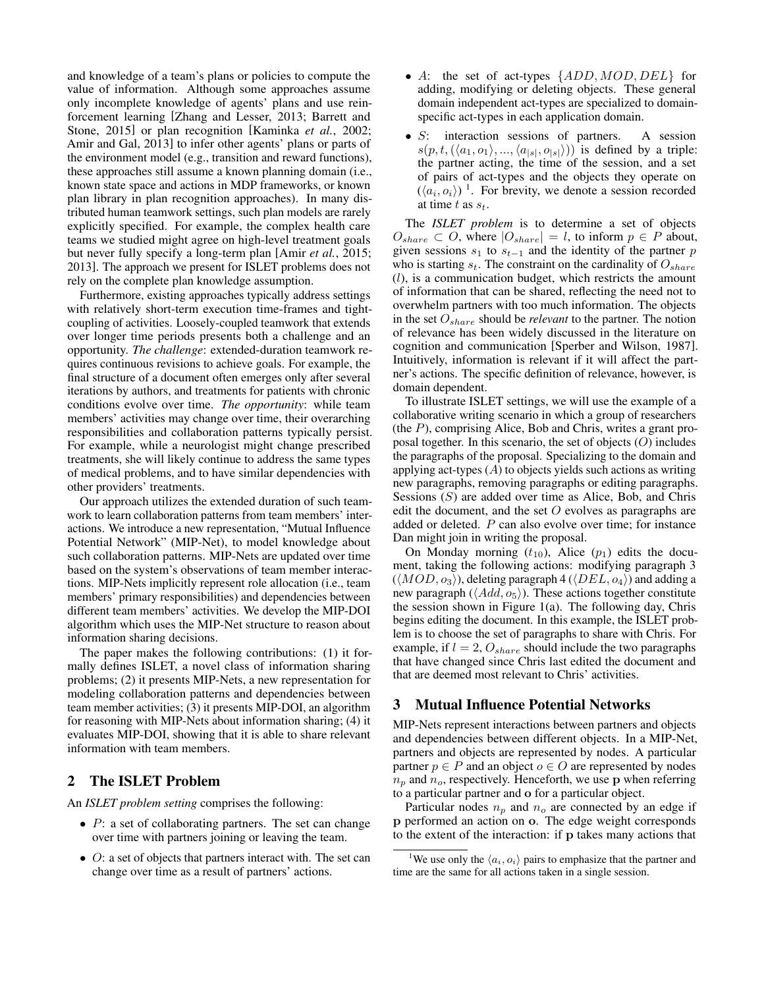and knowledge of a team's plans or policies to compute the value of information. Although some approaches assume only incomplete knowledge of agents' plans and use reinforcement learning [Zhang and Lesser, 2013; Barrett and Stone, 2015] or plan recognition [Kaminka *et al.*, 2002; Amir and Gal, 2013] to infer other agents' plans or parts of the environment model (e.g., transition and reward functions), these approaches still assume a known planning domain (i.e., known state space and actions in MDP frameworks, or known plan library in plan recognition approaches). In many distributed human teamwork settings, such plan models are rarely explicitly specified. For example, the complex health care teams we studied might agree on high-level treatment goals but never fully specify a long-term plan [Amir *et al.*, 2015; 2013]. The approach we present for ISLET problems does not rely on the complete plan knowledge assumption.

Furthermore, existing approaches typically address settings with relatively short-term execution time-frames and tightcoupling of activities. Loosely-coupled teamwork that extends over longer time periods presents both a challenge and an opportunity. *The challenge*: extended-duration teamwork requires continuous revisions to achieve goals. For example, the final structure of a document often emerges only after several iterations by authors, and treatments for patients with chronic conditions evolve over time. *The opportunity*: while team members' activities may change over time, their overarching responsibilities and collaboration patterns typically persist. For example, while a neurologist might change prescribed treatments, she will likely continue to address the same types of medical problems, and to have similar dependencies with other providers' treatments.

Our approach utilizes the extended duration of such teamwork to learn collaboration patterns from team members' interactions. We introduce a new representation, "Mutual Influence Potential Network" (MIP-Net), to model knowledge about such collaboration patterns. MIP-Nets are updated over time based on the system's observations of team member interactions. MIP-Nets implicitly represent role allocation (i.e., team members' primary responsibilities) and dependencies between different team members' activities. We develop the MIP-DOI algorithm which uses the MIP-Net structure to reason about information sharing decisions.

The paper makes the following contributions: (1) it formally defines ISLET, a novel class of information sharing problems; (2) it presents MIP-Nets, a new representation for modeling collaboration patterns and dependencies between team member activities; (3) it presents MIP-DOI, an algorithm for reasoning with MIP-Nets about information sharing; (4) it evaluates MIP-DOI, showing that it is able to share relevant information with team members.

# 2 The ISLET Problem

An *ISLET problem setting* comprises the following:

- $\bullet$  P: a set of collaborating partners. The set can change over time with partners joining or leaving the team.
- O: a set of objects that partners interact with. The set can change over time as a result of partners' actions.
- A: the set of act-types  $\{ADD, MOD, DEL\}$  for adding, modifying or deleting objects. These general domain independent act-types are specialized to domainspecific act-types in each application domain.
- S: interaction sessions of partners. A session  $s(p, t, (\langle a_1, o_1 \rangle, ..., \langle a_{|s|}, o_{|s|} \rangle))$  is defined by a triple: the partner acting, the time of the session, and a set of pairs of act-types and the objects they operate on  $(\langle a_i, o_i \rangle)$ <sup>1</sup>. For brevity, we denote a session recorded at time t as  $s_t$ .

The *ISLET problem* is to determine a set of objects  $O_{share} \subset O$ , where  $|O_{share}| = l$ , to inform  $p \in P$  about, given sessions  $s_1$  to  $s_{t-1}$  and the identity of the partner p who is starting  $s_t$ . The constraint on the cardinality of  $O_{share}$ (l), is a communication budget, which restricts the amount of information that can be shared, reflecting the need not to overwhelm partners with too much information. The objects in the set  $O_{share}$  should be *relevant* to the partner. The notion of relevance has been widely discussed in the literature on cognition and communication [Sperber and Wilson, 1987]. Intuitively, information is relevant if it will affect the partner's actions. The specific definition of relevance, however, is domain dependent.

To illustrate ISLET settings, we will use the example of a collaborative writing scenario in which a group of researchers (the  $P$ ), comprising Alice, Bob and Chris, writes a grant proposal together. In this scenario, the set of objects (O) includes the paragraphs of the proposal. Specializing to the domain and applying act-types  $(A)$  to objects yields such actions as writing new paragraphs, removing paragraphs or editing paragraphs. Sessions  $(S)$  are added over time as Alice, Bob, and Chris edit the document, and the set  $O$  evolves as paragraphs are added or deleted. P can also evolve over time; for instance Dan might join in writing the proposal.

On Monday morning  $(t_{10})$ , Alice  $(p_1)$  edits the document, taking the following actions: modifying paragraph 3  $(\langle MOD, o_3 \rangle)$ , deleting paragraph 4  $(\langle DEL, o_4 \rangle)$  and adding a new paragraph ( $\langle Add, o_5 \rangle$ ). These actions together constitute the session shown in Figure 1(a). The following day, Chris begins editing the document. In this example, the ISLET problem is to choose the set of paragraphs to share with Chris. For example, if  $l = 2, O_{share}$  should include the two paragraphs that have changed since Chris last edited the document and that are deemed most relevant to Chris' activities.

## 3 Mutual Influence Potential Networks

MIP-Nets represent interactions between partners and objects and dependencies between different objects. In a MIP-Net, partners and objects are represented by nodes. A particular partner  $p \in P$  and an object  $o \in O$  are represented by nodes  $n_p$  and  $n_o$ , respectively. Henceforth, we use p when referring to a particular partner and o for a particular object.

Particular nodes  $n_p$  and  $n_o$  are connected by an edge if p performed an action on o. The edge weight corresponds to the extent of the interaction: if p takes many actions that

<sup>&</sup>lt;sup>1</sup>We use only the  $\langle a_i, o_i \rangle$  pairs to emphasize that the partner and time are the same for all actions taken in a single session.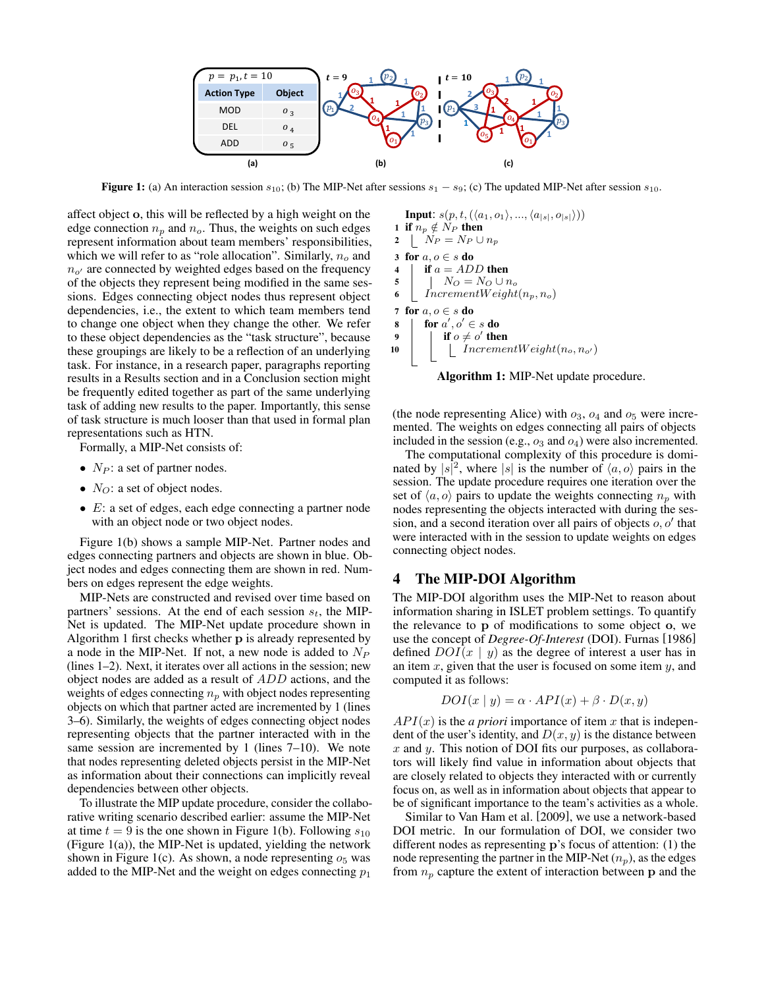

**Figure 1:** (a) An interaction session  $s_{10}$ ; (b) The MIP-Net after sessions  $s_1 - s_9$ ; (c) The updated MIP-Net after session  $s_{10}$ .

affect object o, this will be reflected by a high weight on the edge connection  $n_p$  and  $n_o$ . Thus, the weights on such edges represent information about team members' responsibilities, which we will refer to as "role allocation". Similarly,  $n<sub>o</sub>$  and  $n_{o'}$  are connected by weighted edges based on the frequency of the objects they represent being modified in the same sessions. Edges connecting object nodes thus represent object dependencies, i.e., the extent to which team members tend to change one object when they change the other. We refer to these object dependencies as the "task structure", because these groupings are likely to be a reflection of an underlying task. For instance, in a research paper, paragraphs reporting results in a Results section and in a Conclusion section might be frequently edited together as part of the same underlying task of adding new results to the paper. Importantly, this sense of task structure is much looser than that used in formal plan representations such as HTN.

Formally, a MIP-Net consists of:

- $N_P$ : a set of partner nodes.
- $N_O$ : a set of object nodes.
- E: a set of edges, each edge connecting a partner node with an object node or two object nodes.

Figure 1(b) shows a sample MIP-Net. Partner nodes and edges connecting partners and objects are shown in blue. Object nodes and edges connecting them are shown in red. Numbers on edges represent the edge weights.

MIP-Nets are constructed and revised over time based on partners' sessions. At the end of each session  $s_t$ , the MIP-Net is updated. The MIP-Net update procedure shown in Algorithm 1 first checks whether p is already represented by a node in the MIP-Net. If not, a new node is added to  $N_P$ (lines 1–2). Next, it iterates over all actions in the session; new object nodes are added as a result of ADD actions, and the weights of edges connecting  $n_p$  with object nodes representing objects on which that partner acted are incremented by 1 (lines 3–6). Similarly, the weights of edges connecting object nodes representing objects that the partner interacted with in the same session are incremented by 1 (lines 7–10). We note that nodes representing deleted objects persist in the MIP-Net as information about their connections can implicitly reveal dependencies between other objects.

To illustrate the MIP update procedure, consider the collaborative writing scenario described earlier: assume the MIP-Net at time  $t = 9$  is the one shown in Figure 1(b). Following  $s_{10}$ (Figure 1(a)), the MIP-Net is updated, yielding the network shown in Figure 1(c). As shown, a node representing  $o<sub>5</sub>$  was added to the MIP-Net and the weight on edges connecting  $p_1$ 

**Input:**  $s(p, t, (\langle a_1, o_1 \rangle, ..., \langle a_{|s|}, o_{|s|} \rangle))$ 1 if  $n_p \notin N_P$  then 2  $N_P = N_P \cup n_p$ 3 for  $a, o \in s$  do 4 | if  $a = ADD$  then 5 |  $N_O = N_O \cup n_o$ 6  $IncrementWeight(n_p, n_o)$ 7 for  $a, o \in s$  do 8  $\int$  for  $a', o' \in s$  do 9 if  $o \neq o'$  then 10 |  $|$  IncrementWeight $(n_o, n_{o'})$ 



(the node representing Alice) with  $o_3$ ,  $o_4$  and  $o_5$  were incremented. The weights on edges connecting all pairs of objects included in the session (e.g.,  $o_3$  and  $o_4$ ) were also incremented.

The computational complexity of this procedure is dominated by  $|s|^2$ , where  $|s|$  is the number of  $\langle a, o \rangle$  pairs in the session. The update procedure requires one iteration over the set of  $\langle a, o \rangle$  pairs to update the weights connecting  $n_p$  with nodes representing the objects interacted with during the session, and a second iteration over all pairs of objects  $o, o'$  that were interacted with in the session to update weights on edges connecting object nodes.

### 4 The MIP-DOI Algorithm

The MIP-DOI algorithm uses the MIP-Net to reason about information sharing in ISLET problem settings. To quantify the relevance to p of modifications to some object o, we use the concept of *Degree-Of-Interest* (DOI). Furnas [1986] defined  $DOI(x | y)$  as the degree of interest a user has in an item  $x$ , given that the user is focused on some item  $y$ , and computed it as follows:

$$
DOI(x | y) = \alpha \cdot API(x) + \beta \cdot D(x, y)
$$

 $API(x)$  is the *a priori* importance of item x that is independent of the user's identity, and  $D(x, y)$  is the distance between  $x$  and  $y$ . This notion of DOI fits our purposes, as collaborators will likely find value in information about objects that are closely related to objects they interacted with or currently focus on, as well as in information about objects that appear to be of significant importance to the team's activities as a whole.

Similar to Van Ham et al. [2009], we use a network-based DOI metric. In our formulation of DOI, we consider two different nodes as representing p's focus of attention: (1) the node representing the partner in the MIP-Net  $(n_p)$ , as the edges from  $n_p$  capture the extent of interaction between p and the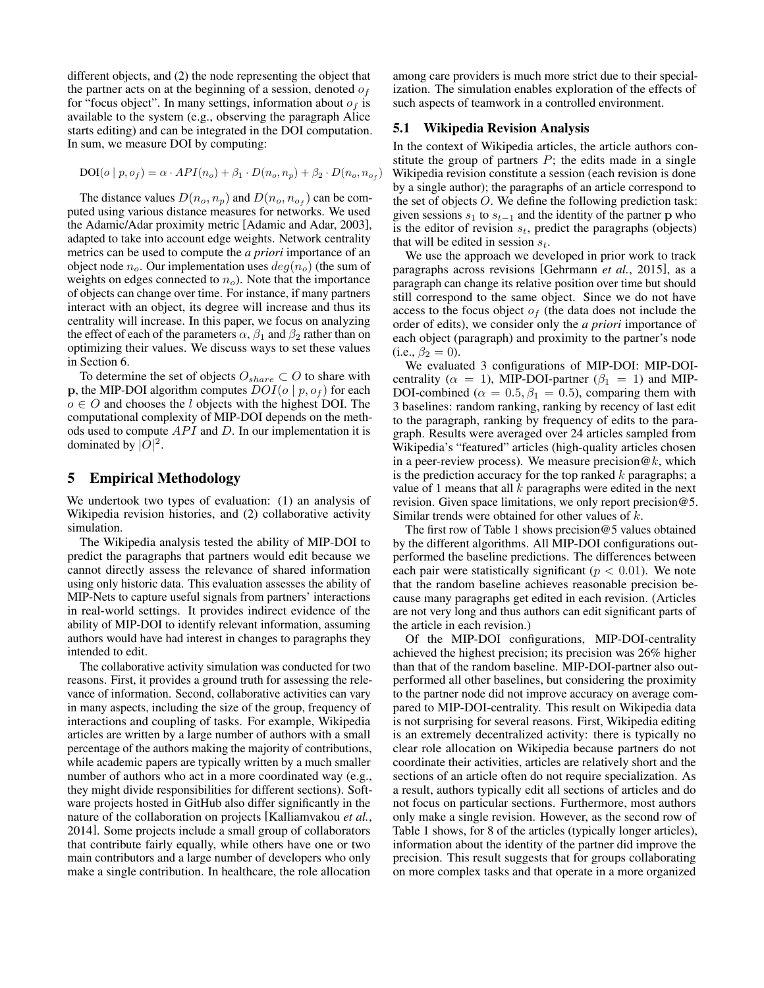different objects, and (2) the node representing the object that the partner acts on at the beginning of a session, denoted  $o<sub>f</sub>$ for "focus object". In many settings, information about  $o<sub>f</sub>$  is available to the system (e.g., observing the paragraph Alice starts editing) and can be integrated in the DOI computation. In sum, we measure DOI by computing:

$$
DOI(o | p, o_f) = \alpha \cdot API(n_o) + \beta_1 \cdot D(n_o, n_p) + \beta_2 \cdot D(n_o, n_{o_f})
$$

The distance values  $D(n_o, n_p)$  and  $D(n_o, n_{o_f})$  can be computed using various distance measures for networks. We used the Adamic/Adar proximity metric [Adamic and Adar, 2003], adapted to take into account edge weights. Network centrality metrics can be used to compute the *a priori* importance of an object node  $n_o$ . Our implementation uses  $deg(n_o)$  (the sum of weights on edges connected to  $n<sub>o</sub>$ ). Note that the importance of objects can change over time. For instance, if many partners interact with an object, its degree will increase and thus its centrality will increase. In this paper, we focus on analyzing the effect of each of the parameters  $\alpha$ ,  $\beta_1$  and  $\beta_2$  rather than on optimizing their values. We discuss ways to set these values in Section 6.

To determine the set of objects  $O_{share} \subset O$  to share with **p**, the MIP-DOI algorithm computes  $DOI(o | p, o_f)$  for each  $o \in O$  and chooses the l objects with the highest DOI. The computational complexity of MIP-DOI depends on the methods used to compute  $API$  and  $D$ . In our implementation it is dominated by  $|\tilde{O}|^2$ .

### 5 Empirical Methodology

We undertook two types of evaluation: (1) an analysis of Wikipedia revision histories, and (2) collaborative activity simulation.

The Wikipedia analysis tested the ability of MIP-DOI to predict the paragraphs that partners would edit because we cannot directly assess the relevance of shared information using only historic data. This evaluation assesses the ability of MIP-Nets to capture useful signals from partners' interactions in real-world settings. It provides indirect evidence of the ability of MIP-DOI to identify relevant information, assuming authors would have had interest in changes to paragraphs they intended to edit.

The collaborative activity simulation was conducted for two reasons. First, it provides a ground truth for assessing the relevance of information. Second, collaborative activities can vary in many aspects, including the size of the group, frequency of interactions and coupling of tasks. For example, Wikipedia articles are written by a large number of authors with a small percentage of the authors making the majority of contributions, while academic papers are typically written by a much smaller number of authors who act in a more coordinated way (e.g., they might divide responsibilities for different sections). Software projects hosted in GitHub also differ significantly in the nature of the collaboration on projects [Kalliamvakou *et al.*, 2014]. Some projects include a small group of collaborators that contribute fairly equally, while others have one or two main contributors and a large number of developers who only make a single contribution. In healthcare, the role allocation

among care providers is much more strict due to their specialization. The simulation enables exploration of the effects of such aspects of teamwork in a controlled environment.

#### 5.1 Wikipedia Revision Analysis

In the context of Wikipedia articles, the article authors constitute the group of partners  $P$ ; the edits made in a single Wikipedia revision constitute a session (each revision is done by a single author); the paragraphs of an article correspond to the set of objects O. We define the following prediction task: given sessions  $s_1$  to  $s_{t-1}$  and the identity of the partner p who is the editor of revision  $s_t$ , predict the paragraphs (objects) that will be edited in session  $s_t$ .

We use the approach we developed in prior work to track paragraphs across revisions [Gehrmann *et al.*, 2015], as a paragraph can change its relative position over time but should still correspond to the same object. Since we do not have access to the focus object  $o<sub>f</sub>$  (the data does not include the order of edits), we consider only the *a priori* importance of each object (paragraph) and proximity to the partner's node (i.e.,  $\beta_2 = 0$ ).

We evaluated 3 configurations of MIP-DOI: MIP-DOIcentrality ( $\alpha = 1$ ), MIP-DOI-partner ( $\beta_1 = 1$ ) and MIP-DOI-combined ( $\alpha = 0.5, \beta_1 = 0.5$ ), comparing them with 3 baselines: random ranking, ranking by recency of last edit to the paragraph, ranking by frequency of edits to the paragraph. Results were averaged over 24 articles sampled from Wikipedia's "featured" articles (high-quality articles chosen in a peer-review process). We measure precision  $@k$ , which is the prediction accuracy for the top ranked  $k$  paragraphs; a value of 1 means that all  $k$  paragraphs were edited in the next revision. Given space limitations, we only report precision@5. Similar trends were obtained for other values of k.

The first row of Table 1 shows precision@5 values obtained by the different algorithms. All MIP-DOI configurations outperformed the baseline predictions. The differences between each pair were statistically significant ( $p < 0.01$ ). We note that the random baseline achieves reasonable precision because many paragraphs get edited in each revision. (Articles are not very long and thus authors can edit significant parts of the article in each revision.)

Of the MIP-DOI configurations, MIP-DOI-centrality achieved the highest precision; its precision was 26% higher than that of the random baseline. MIP-DOI-partner also outperformed all other baselines, but considering the proximity to the partner node did not improve accuracy on average compared to MIP-DOI-centrality. This result on Wikipedia data is not surprising for several reasons. First, Wikipedia editing is an extremely decentralized activity: there is typically no clear role allocation on Wikipedia because partners do not coordinate their activities, articles are relatively short and the sections of an article often do not require specialization. As a result, authors typically edit all sections of articles and do not focus on particular sections. Furthermore, most authors only make a single revision. However, as the second row of Table 1 shows, for 8 of the articles (typically longer articles), information about the identity of the partner did improve the precision. This result suggests that for groups collaborating on more complex tasks and that operate in a more organized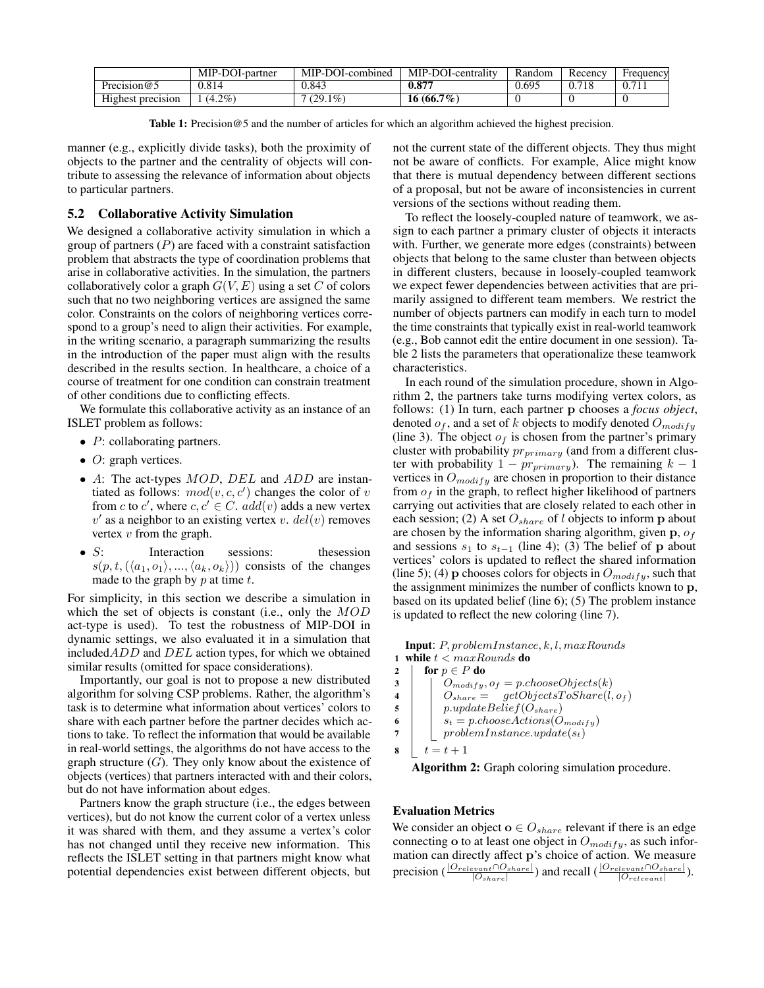|                   | MIP-DOI-partner | MIP-DOI-combined | MIP-DOI-centrality | Random | Recency | Frequency     |
|-------------------|-----------------|------------------|--------------------|--------|---------|---------------|
| Precision $@5$    | 0.814           | 0.843            | 0.87'              | 0.695  |         | $0.7^{\circ}$ |
| Highest precision | $(4.2\%)$       | $(29.1\%)$       | $16(66.7\%)$       |        |         |               |

Table 1: Precision@5 and the number of articles for which an algorithm achieved the highest precision.

manner (e.g., explicitly divide tasks), both the proximity of objects to the partner and the centrality of objects will contribute to assessing the relevance of information about objects to particular partners.

## 5.2 Collaborative Activity Simulation

We designed a collaborative activity simulation in which a group of partners  $(P)$  are faced with a constraint satisfaction problem that abstracts the type of coordination problems that arise in collaborative activities. In the simulation, the partners collaboratively color a graph  $G(V, E)$  using a set C of colors such that no two neighboring vertices are assigned the same color. Constraints on the colors of neighboring vertices correspond to a group's need to align their activities. For example, in the writing scenario, a paragraph summarizing the results in the introduction of the paper must align with the results described in the results section. In healthcare, a choice of a course of treatment for one condition can constrain treatment of other conditions due to conflicting effects.

We formulate this collaborative activity as an instance of an ISLET problem as follows:

- $P$ : collaborating partners.
- $O$ : graph vertices.
- A: The act-types  $MOD$ ,  $DEL$  and  $ADD$  are instantiated as follows:  $mod(v, c, c')$  changes the color of v from c to c', where  $c, c' \in C$ .  $add(v)$  adds a new vertex  $v'$  as a neighbor to an existing vertex v.  $del(v)$  removes vertex  $v$  from the graph.
- S: Interaction sessions: thesession  $s(p, t, (\langle a_1, o_1 \rangle, ..., \langle a_k, o_k \rangle))$  consists of the changes made to the graph by  $p$  at time  $t$ .

For simplicity, in this section we describe a simulation in which the set of objects is constant (i.e., only the MOD act-type is used). To test the robustness of MIP-DOI in dynamic settings, we also evaluated it in a simulation that included $ADD$  and  $DEL$  action types, for which we obtained similar results (omitted for space considerations).

Importantly, our goal is not to propose a new distributed algorithm for solving CSP problems. Rather, the algorithm's task is to determine what information about vertices' colors to share with each partner before the partner decides which actions to take. To reflect the information that would be available in real-world settings, the algorithms do not have access to the graph structure  $(G)$ . They only know about the existence of objects (vertices) that partners interacted with and their colors, but do not have information about edges.

Partners know the graph structure (i.e., the edges between vertices), but do not know the current color of a vertex unless it was shared with them, and they assume a vertex's color has not changed until they receive new information. This reflects the ISLET setting in that partners might know what potential dependencies exist between different objects, but not the current state of the different objects. They thus might not be aware of conflicts. For example, Alice might know that there is mutual dependency between different sections of a proposal, but not be aware of inconsistencies in current versions of the sections without reading them.

To reflect the loosely-coupled nature of teamwork, we assign to each partner a primary cluster of objects it interacts with. Further, we generate more edges (constraints) between objects that belong to the same cluster than between objects in different clusters, because in loosely-coupled teamwork we expect fewer dependencies between activities that are primarily assigned to different team members. We restrict the number of objects partners can modify in each turn to model the time constraints that typically exist in real-world teamwork (e.g., Bob cannot edit the entire document in one session). Table 2 lists the parameters that operationalize these teamwork characteristics.

In each round of the simulation procedure, shown in Algorithm 2, the partners take turns modifying vertex colors, as follows: (1) In turn, each partner p chooses a *focus object*, denoted  $o_f$ , and a set of k objects to modify denoted  $O_{modif\,y}$ (line 3). The object  $o<sub>f</sub>$  is chosen from the partner's primary cluster with probability  $pr_{primary}$  (and from a different cluster with probability  $1 - pr_{primary}$ ). The remaining  $k - 1$ vertices in  $O_{modify}$  are chosen in proportion to their distance from  $o_f$  in the graph, to reflect higher likelihood of partners carrying out activities that are closely related to each other in each session; (2) A set  $O_{share}$  of l objects to inform p about are chosen by the information sharing algorithm, given  $\mathbf{p}, o_f$ and sessions  $s_1$  to  $s_{t-1}$  (line 4); (3) The belief of p about vertices' colors is updated to reflect the shared information (line 5); (4) p chooses colors for objects in  $O_{modify}$ , such that the assignment minimizes the number of conflicts known to p, based on its updated belief (line 6); (5) The problem instance is updated to reflect the new coloring (line 7).

Input: P, problemInstance, k, l, maxRounds 1 while  $t < maxRounds$  do

```
2 | for p \in P do
3 \mid O_{modify}, o_f = pchooseObjects(k)4 | O_{share} = getObjectS\text{ToShare}(l, o_f)5 | p.updateBelief(O_{share})6 \vert s_t = p \n<sub>choose</sub> A \n<sub>edge</sub> B7 \mid \cdot \mid problem Instance.update(st)
8 t = t + 1
```
Algorithm 2: Graph coloring simulation procedure.

#### Evaluation Metrics

We consider an object  $o \in O_{share}$  relevant if there is an edge connecting o to at least one object in  $O_{modify}$ , as such information can directly affect p's choice of action. We measure precision ( $\frac{|O_{relevant} \cap O_{share}|}{|O_{share}|}$ ) and recall ( $\frac{|O_{relevant} \cap O_{share}|}{|O_{relevant}|}$ ).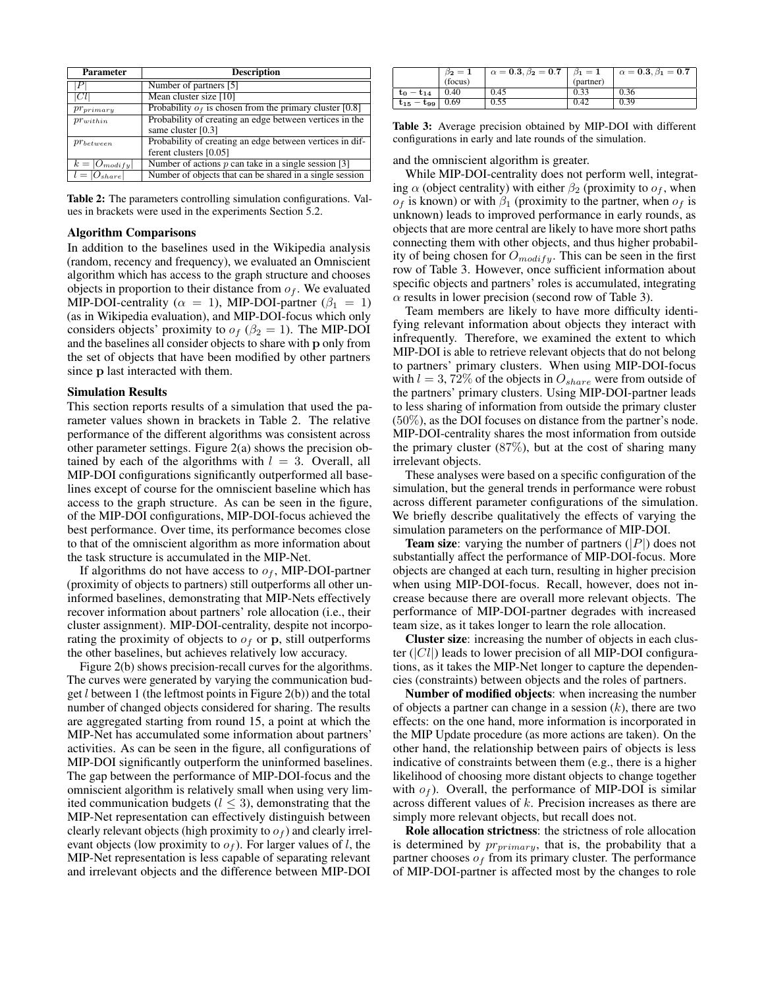| Parameter           | <b>Description</b>                                        |  |  |  |
|---------------------|-----------------------------------------------------------|--|--|--|
| P <sub>1</sub>      | Number of partners [5]                                    |  |  |  |
| Cl                  | Mean cluster size [10]                                    |  |  |  |
| $pr_{primary}$      | Probability $of$ is chosen from the primary cluster [0.8] |  |  |  |
| $pr_{within}$       | Probability of creating an edge between vertices in the   |  |  |  |
|                     | same cluster [0.3]                                        |  |  |  |
| $pr_{between}$      | Probability of creating an edge between vertices in dif-  |  |  |  |
|                     | ferent clusters [0.05]                                    |  |  |  |
| $k =  O_{modify} $  | Number of actions $p$ can take in a single session [3]    |  |  |  |
| $  l =  O_{share} $ | Number of objects that can be shared in a single session  |  |  |  |

Table 2: The parameters controlling simulation configurations. Values in brackets were used in the experiments Section 5.2.

#### Algorithm Comparisons

In addition to the baselines used in the Wikipedia analysis (random, recency and frequency), we evaluated an Omniscient algorithm which has access to the graph structure and chooses objects in proportion to their distance from  $o<sub>f</sub>$ . We evaluated MIP-DOI-centrality ( $\alpha = 1$ ), MIP-DOI-partner ( $\beta_1 = 1$ ) (as in Wikipedia evaluation), and MIP-DOI-focus which only considers objects' proximity to  $o_f$  ( $\beta_2 = 1$ ). The MIP-DOI and the baselines all consider objects to share with p only from the set of objects that have been modified by other partners since p last interacted with them.

#### Simulation Results

This section reports results of a simulation that used the parameter values shown in brackets in Table 2. The relative performance of the different algorithms was consistent across other parameter settings. Figure 2(a) shows the precision obtained by each of the algorithms with  $l = 3$ . Overall, all MIP-DOI configurations significantly outperformed all baselines except of course for the omniscient baseline which has access to the graph structure. As can be seen in the figure, of the MIP-DOI configurations, MIP-DOI-focus achieved the best performance. Over time, its performance becomes close to that of the omniscient algorithm as more information about the task structure is accumulated in the MIP-Net.

If algorithms do not have access to  $o_f$ , MIP-DOI-partner (proximity of objects to partners) still outperforms all other uninformed baselines, demonstrating that MIP-Nets effectively recover information about partners' role allocation (i.e., their cluster assignment). MIP-DOI-centrality, despite not incorporating the proximity of objects to  $o_f$  or p, still outperforms the other baselines, but achieves relatively low accuracy.

Figure 2(b) shows precision-recall curves for the algorithms. The curves were generated by varying the communication budget  $l$  between 1 (the leftmost points in Figure 2(b)) and the total number of changed objects considered for sharing. The results are aggregated starting from round 15, a point at which the MIP-Net has accumulated some information about partners' activities. As can be seen in the figure, all configurations of MIP-DOI significantly outperform the uninformed baselines. The gap between the performance of MIP-DOI-focus and the omniscient algorithm is relatively small when using very limited communication budgets ( $l \leq 3$ ), demonstrating that the MIP-Net representation can effectively distinguish between clearly relevant objects (high proximity to  $o<sub>f</sub>$ ) and clearly irrelevant objects (low proximity to  $o<sub>f</sub>$ ). For larger values of l, the MIP-Net representation is less capable of separating relevant and irrelevant objects and the difference between MIP-DOI

|                   | $\beta_2=1$ | $\alpha = 0.3, \beta_2 = 0.7 \mid \beta_1 = 1$ |           | $\alpha = 0.3, \beta_1 = 0.7$ |
|-------------------|-------------|------------------------------------------------|-----------|-------------------------------|
|                   | (focus)     |                                                | (partner) |                               |
| $t_0 - t_{14}$    | 0.40        | 0.45                                           | 0.33      | 0.36                          |
| $t_{15} - t_{99}$ | 0.69        | 0.55                                           | 0.42      | 0.39                          |

Table 3: Average precision obtained by MIP-DOI with different configurations in early and late rounds of the simulation.

and the omniscient algorithm is greater.

While MIP-DOI-centrality does not perform well, integrating  $\alpha$  (object centrality) with either  $\beta_2$  (proximity to  $\sigma_f$ , when  $o_f$  is known) or with  $\beta_1$  (proximity to the partner, when  $o_f$  is unknown) leads to improved performance in early rounds, as objects that are more central are likely to have more short paths connecting them with other objects, and thus higher probability of being chosen for  $O_{modify}$ . This can be seen in the first row of Table 3. However, once sufficient information about specific objects and partners' roles is accumulated, integrating  $\alpha$  results in lower precision (second row of Table 3).

Team members are likely to have more difficulty identifying relevant information about objects they interact with infrequently. Therefore, we examined the extent to which MIP-DOI is able to retrieve relevant objects that do not belong to partners' primary clusters. When using MIP-DOI-focus with  $l = 3, 72\%$  of the objects in  $O_{share}$  were from outside of the partners' primary clusters. Using MIP-DOI-partner leads to less sharing of information from outside the primary cluster (50%), as the DOI focuses on distance from the partner's node. MIP-DOI-centrality shares the most information from outside the primary cluster  $(87\%)$ , but at the cost of sharing many irrelevant objects.

These analyses were based on a specific configuration of the simulation, but the general trends in performance were robust across different parameter configurations of the simulation. We briefly describe qualitatively the effects of varying the simulation parameters on the performance of MIP-DOI.

**Team size:** varying the number of partners  $(|P|)$  does not substantially affect the performance of MIP-DOI-focus. More objects are changed at each turn, resulting in higher precision when using MIP-DOI-focus. Recall, however, does not increase because there are overall more relevant objects. The performance of MIP-DOI-partner degrades with increased team size, as it takes longer to learn the role allocation.

Cluster size: increasing the number of objects in each cluster  $(|Cl|)$  leads to lower precision of all MIP-DOI configurations, as it takes the MIP-Net longer to capture the dependencies (constraints) between objects and the roles of partners.

Number of modified objects: when increasing the number of objects a partner can change in a session  $(k)$ , there are two effects: on the one hand, more information is incorporated in the MIP Update procedure (as more actions are taken). On the other hand, the relationship between pairs of objects is less indicative of constraints between them (e.g., there is a higher likelihood of choosing more distant objects to change together with  $o_f$ ). Overall, the performance of MIP-DOI is similar across different values of k. Precision increases as there are simply more relevant objects, but recall does not.

Role allocation strictness: the strictness of role allocation is determined by  $pr_{primary}$ , that is, the probability that a partner chooses  $o_f$  from its primary cluster. The performance of MIP-DOI-partner is affected most by the changes to role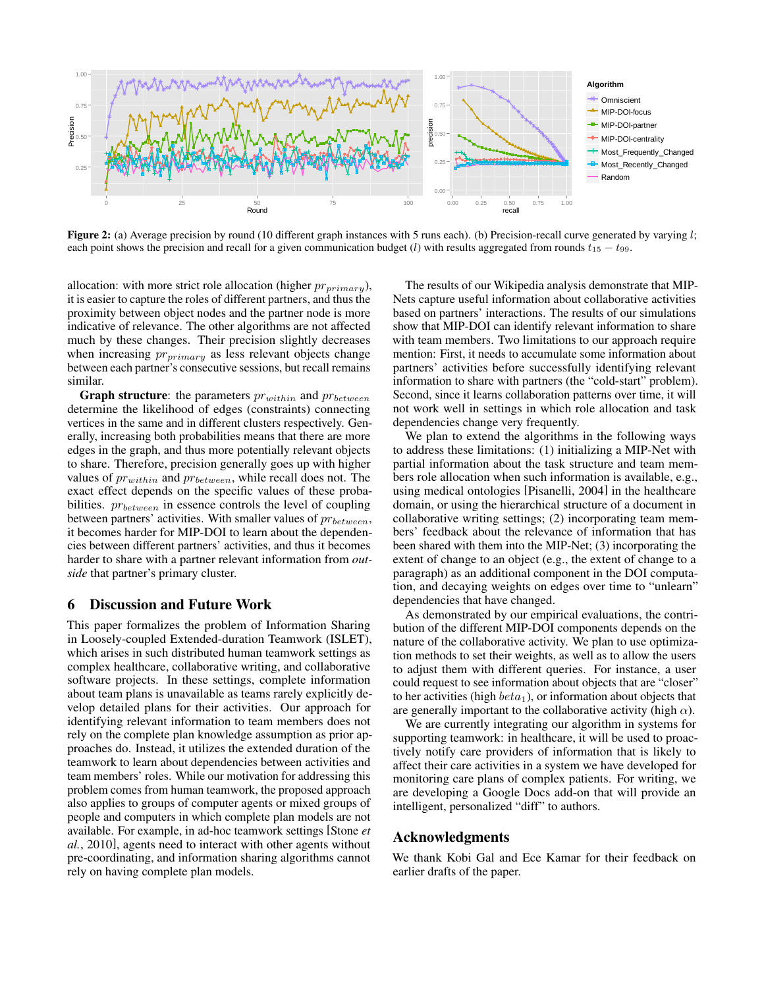

each point shows the precision and recall for a given communication budget (l) with results aggregated from rounds  $t_{15} - t_{99}$ .  $0.5$  runs each). (b) I recision-recall cur h 5 runs each). (b) Precision-recall curv Figure 2: (a) Average precision by round (10 different graph instances with 5 runs each). (b) Precision-recall curve generated by varying  $l$ ;

allocation: with more strict role allocation (higher  $pr_{primary}$ ), it is easier to capture the roles of different partners, and thus the proximity between object nodes and the partner node is more indicative of relevance. The other algorithms are not affected much by these changes. Their precision slightly decreases when increasing  $pr_{primary}$  as less relevant objects change between each partner's consecutive sessions, but recall remains similar.

**Graph structure**: the parameters  $pr_{within}$  and  $pr_{between}$ determine the likelihood of edges (constraints) connecting vertices in the same and in different clusters respectively. Generally, increasing both probabilities means that there are more edges in the graph, and thus more potentially relevant objects to share. Therefore, precision generally goes up with higher values of  $pr_{within}$  and  $pr_{between}$ , while recall does not. The exact effect depends on the specific values of these probabilities.  $pr_{between}$  in essence controls the level of coupling between partners' activities. With smaller values of  $pr_{between}$ , it becomes harder for MIP-DOI to learn about the dependencies between different partners' activities, and thus it becomes harder to share with a partner relevant information from *outside* that partner's primary cluster.

#### 6 Discussion and Future Work

This paper formalizes the problem of Information Sharing in Loosely-coupled Extended-duration Teamwork (ISLET), which arises in such distributed human teamwork settings as complex healthcare, collaborative writing, and collaborative software projects. In these settings, complete information about team plans is unavailable as teams rarely explicitly develop detailed plans for their activities. Our approach for identifying relevant information to team members does not rely on the complete plan knowledge assumption as prior approaches do. Instead, it utilizes the extended duration of the teamwork to learn about dependencies between activities and team members' roles. While our motivation for addressing this problem comes from human teamwork, the proposed approach also applies to groups of computer agents or mixed groups of people and computers in which complete plan models are not available. For example, in ad-hoc teamwork settings [Stone *et al.*, 2010], agents need to interact with other agents without pre-coordinating, and information sharing algorithms cannot rely on having complete plan models.

The results of our Wikipedia analysis demonstrate that MIP-Nets capture useful information about collaborative activities based on partners' interactions. The results of our simulations show that MIP-DOI can identify relevant information to share with team members. Two limitations to our approach require mention: First, it needs to accumulate some information about partners' activities before successfully identifying relevant information to share with partners (the "cold-start" problem). Second, since it learns collaboration patterns over time, it will not work well in settings in which role allocation and task dependencies change very frequently.

We plan to extend the algorithms in the following ways to address these limitations: (1) initializing a MIP-Net with partial information about the task structure and team members role allocation when such information is available, e.g., using medical ontologies [Pisanelli, 2004] in the healthcare domain, or using the hierarchical structure of a document in collaborative writing settings; (2) incorporating team members' feedback about the relevance of information that has been shared with them into the MIP-Net; (3) incorporating the extent of change to an object (e.g., the extent of change to a paragraph) as an additional component in the DOI computation, and decaying weights on edges over time to "unlearn" dependencies that have changed.

As demonstrated by our empirical evaluations, the contribution of the different MIP-DOI components depends on the nature of the collaborative activity. We plan to use optimization methods to set their weights, as well as to allow the users to adjust them with different queries. For instance, a user could request to see information about objects that are "closer" to her activities (high  $beta_1$ ), or information about objects that are generally important to the collaborative activity (high  $\alpha$ ).

We are currently integrating our algorithm in systems for supporting teamwork: in healthcare, it will be used to proactively notify care providers of information that is likely to affect their care activities in a system we have developed for monitoring care plans of complex patients. For writing, we are developing a Google Docs add-on that will provide an intelligent, personalized "diff" to authors.

# Acknowledgments

We thank Kobi Gal and Ece Kamar for their feedback on earlier drafts of the paper.